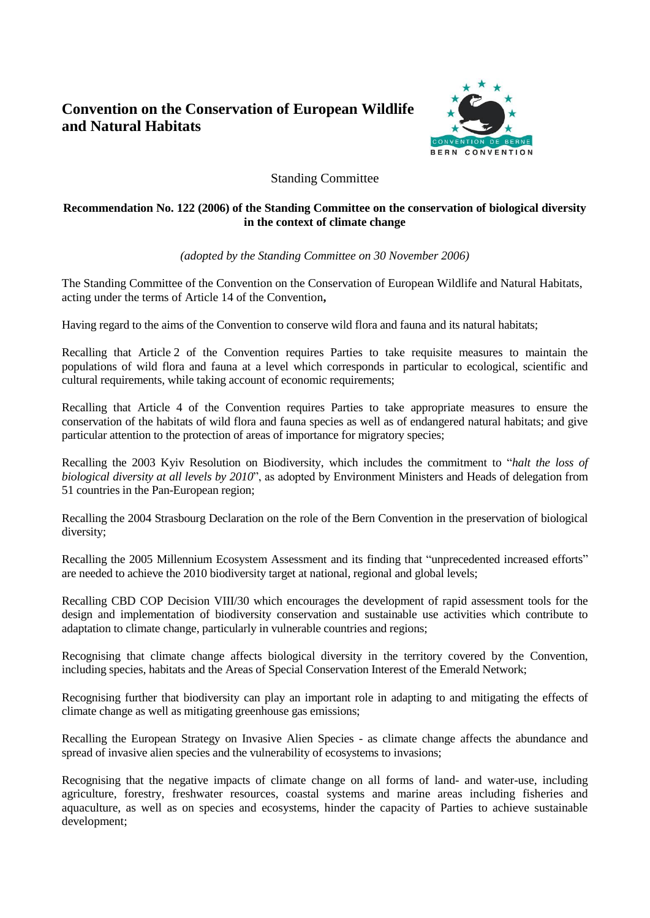# **Convention on the Conservation of European Wildlife and Natural Habitats**



# Standing Committee

## **Recommendation No. 122 (2006) of the Standing Committee on the conservation of biological diversity in the context of climate change**

*(adopted by the Standing Committee on 30 November 2006)*

The Standing Committee of the Convention on the Conservation of European Wildlife and Natural Habitats, acting under the terms of Article 14 of the Convention**,** 

Having regard to the aims of the Convention to conserve wild flora and fauna and its natural habitats;

Recalling that Article 2 of the Convention requires Parties to take requisite measures to maintain the populations of wild flora and fauna at a level which corresponds in particular to ecological, scientific and cultural requirements, while taking account of economic requirements;

Recalling that Article 4 of the Convention requires Parties to take appropriate measures to ensure the conservation of the habitats of wild flora and fauna species as well as of endangered natural habitats; and give particular attention to the protection of areas of importance for migratory species;

Recalling the 2003 Kyiv Resolution on Biodiversity, which includes the commitment to "*halt the loss of biological diversity at all levels by 2010*", as adopted by Environment Ministers and Heads of delegation from 51 countries in the Pan-European region;

Recalling the 2004 Strasbourg Declaration on the role of the Bern Convention in the preservation of biological diversity;

Recalling the 2005 Millennium Ecosystem Assessment and its finding that "unprecedented increased efforts" are needed to achieve the 2010 biodiversity target at national, regional and global levels;

Recalling CBD COP Decision VIII/30 which encourages the development of rapid assessment tools for the design and implementation of biodiversity conservation and sustainable use activities which contribute to adaptation to climate change, particularly in vulnerable countries and regions;

Recognising that climate change affects biological diversity in the territory covered by the Convention, including species, habitats and the Areas of Special Conservation Interest of the Emerald Network;

Recognising further that biodiversity can play an important role in adapting to and mitigating the effects of climate change as well as mitigating greenhouse gas emissions;

Recalling the European Strategy on Invasive Alien Species - as climate change affects the abundance and spread of invasive alien species and the vulnerability of ecosystems to invasions;

Recognising that the negative impacts of climate change on all forms of land- and water-use, including agriculture, forestry, freshwater resources, coastal systems and marine areas including fisheries and aquaculture, as well as on species and ecosystems, hinder the capacity of Parties to achieve sustainable development;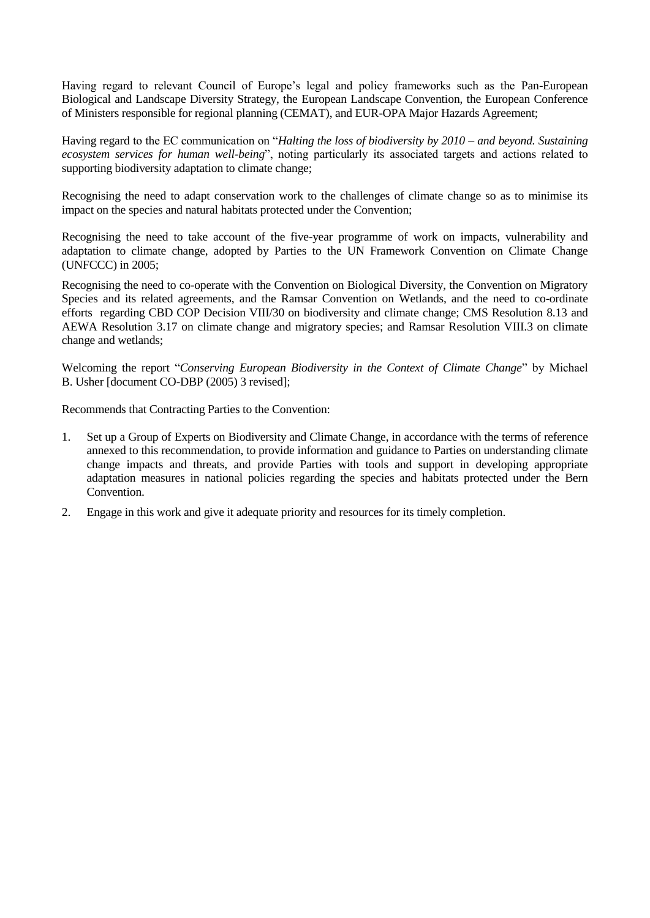Having regard to relevant Council of Europe's legal and policy frameworks such as the Pan-European Biological and Landscape Diversity Strategy, the European Landscape Convention, the European Conference of Ministers responsible for regional planning (CEMAT), and EUR-OPA Major Hazards Agreement;

Having regard to the EC communication on "*Halting the loss of biodiversity by 2010 – and beyond. Sustaining ecosystem services for human well-being*", noting particularly its associated targets and actions related to supporting biodiversity adaptation to climate change;

Recognising the need to adapt conservation work to the challenges of climate change so as to minimise its impact on the species and natural habitats protected under the Convention;

Recognising the need to take account of the five-year programme of work on impacts, vulnerability and adaptation to climate change, adopted by Parties to the UN Framework Convention on Climate Change (UNFCCC) in 2005;

Recognising the need to co-operate with the Convention on Biological Diversity, the Convention on Migratory Species and its related agreements, and the Ramsar Convention on Wetlands, and the need to co-ordinate efforts regarding CBD COP Decision VIII/30 on biodiversity and climate change; CMS Resolution 8.13 and AEWA Resolution 3.17 on climate change and migratory species; and Ramsar Resolution VIII.3 on climate change and wetlands;

Welcoming the report "*Conserving European Biodiversity in the Context of Climate Change*" by Michael B. Usher [document CO-DBP (2005) 3 revised];

Recommends that Contracting Parties to the Convention:

- 1. Set up a Group of Experts on Biodiversity and Climate Change, in accordance with the terms of reference annexed to this recommendation, to provide information and guidance to Parties on understanding climate change impacts and threats, and provide Parties with tools and support in developing appropriate adaptation measures in national policies regarding the species and habitats protected under the Bern Convention.
- 2. Engage in this work and give it adequate priority and resources for its timely completion.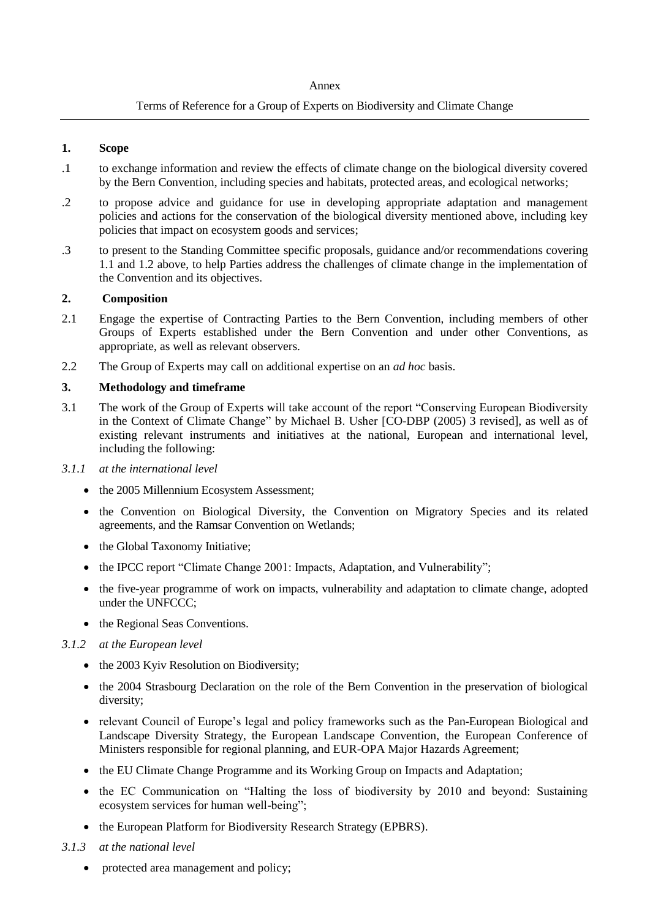#### Annex

## Terms of Reference for a Group of Experts on Biodiversity and Climate Change

#### **1. Scope**

- .1 to exchange information and review the effects of climate change on the biological diversity covered by the Bern Convention, including species and habitats, protected areas, and ecological networks;
- .2 to propose advice and guidance for use in developing appropriate adaptation and management policies and actions for the conservation of the biological diversity mentioned above, including key policies that impact on ecosystem goods and services;
- .3 to present to the Standing Committee specific proposals, guidance and/or recommendations covering 1.1 and 1.2 above, to help Parties address the challenges of climate change in the implementation of the Convention and its objectives.

#### **2. Composition**

- 2.1 Engage the expertise of Contracting Parties to the Bern Convention, including members of other Groups of Experts established under the Bern Convention and under other Conventions, as appropriate, as well as relevant observers.
- 2.2 The Group of Experts may call on additional expertise on an *ad hoc* basis.

## **3. Methodology and timeframe**

3.1 The work of the Group of Experts will take account of the report "Conserving European Biodiversity in the Context of Climate Change" by Michael B. Usher [CO-DBP (2005) 3 revised], as well as of existing relevant instruments and initiatives at the national, European and international level, including the following:

#### *3.1.1 at the international level*

- the 2005 Millennium Ecosystem Assessment;
- the Convention on Biological Diversity, the Convention on Migratory Species and its related agreements, and the Ramsar Convention on Wetlands;
- the Global Taxonomy Initiative;
- the IPCC report "Climate Change 2001: Impacts, Adaptation, and Vulnerability";
- the five-year programme of work on impacts, vulnerability and adaptation to climate change, adopted under the UNFCCC;
- the Regional Seas Conventions.
- *3.1.2 at the European level*
	- the 2003 Kyiv Resolution on Biodiversity;
	- the 2004 Strasbourg Declaration on the role of the Bern Convention in the preservation of biological diversity;
	- relevant Council of Europe's legal and policy frameworks such as the Pan-European Biological and Landscape Diversity Strategy, the European Landscape Convention, the European Conference of Ministers responsible for regional planning, and EUR-OPA Major Hazards Agreement;
	- the EU Climate Change Programme and its Working Group on Impacts and Adaptation;
	- the EC Communication on "Halting the loss of biodiversity by 2010 and beyond: Sustaining ecosystem services for human well-being";
	- the European Platform for Biodiversity Research Strategy (EPBRS).
- *3.1.3 at the national level*
	- protected area management and policy;